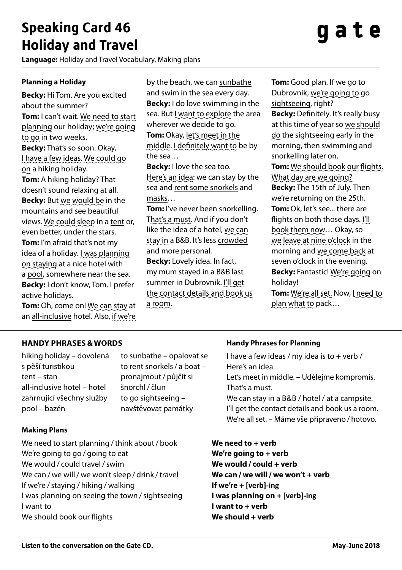## **Speaking Card 46 Holiday and Travel**

**Language:** Holiday and Travel Vocabulary, Making plans

# aate

#### **Planning a Holiday**

**Becky:** Hi Tom. Are you excited about the summer? **Tom:** I can't wait. We need to start planning our holiday; we're going to go in two weeks. **Becky:** That's so soon. Okay, I have a few ideas. We could go on a hiking holiday. **Tom:** A hiking holiday? That doesn't sound relaxing at all. **Becky:** But we would be in the mountains and see beautiful views. We could sleep in a tent or, even better, under the stars. **Tom:** I'm afraid that's not my idea of a holiday. I was planning on staying at a nice hotel with a pool, somewhere near the sea.

active holidays. **Tom:** Oh, come on! We can stay at an all-inclusive hotel. Also, if we're

**Becky:** I don't know, Tom. I prefer

by the beach, we can sunbathe and swim in the sea every day. **Becky:** I do love swimming in the sea. But I want to explore the area wherever we decide to go.

**Tom:** Okay, let's meet in the middle. I definitely want to be by the sea…

**Becky:** I love the sea too. Here's an idea: we can stay by the sea and rent some snorkels and masks…

**Tom:** I've never been snorkelling. That's a must. And if you don't like the idea of a hotel, we can stay in a B&B. It's less crowded and more personal.

**Becky:** Lovely idea. In fact, my mum stayed in a B&B last summer in Dubrovnik. I'll get the contact details and book us a room.

**Tom:** Good plan. If we go to Dubrovnik, we're going to go sightseeing, right? **Becky:** Definitely. It's really busy at this time of year so we should do the sightseeing early in the morning, then swimming and snorkelling later on. **Tom:** We should book our flights. What day are we going? **Becky:** The 15th of July. Then we're returning on the 25th. **Tom:** Ok, let's see... there are flights on both those days. I'll book them now… Okay, so we leave at nine o'clock in the morning and we come back at seven o'clock in the evening. **Becky:** Fantastic! We're going on holiday!

**Tom:** We're all set. Now, I need to plan what to pack…

### **Handy Phrases &WORDS**

hiking holiday – dovolená s pěší turistikou tent – stan all-inclusive hotel – hotel zahrnující všechny služby pool – bazén

to sunbathe – opalovat se to rent snorkels/ a boat – pronajmout/ půjčit si šnorchl/ člun to go sightseeing – navštěvovat památky

#### **Making Plans**

We need to start planning / think about / book **We need to + verb** We're going to go / going to eat **We're going to + verb** We would / could travel/swim **We would / could + verb** We can / we will/ we won't sleep / drink /travel **We can / we will / we won't + verb** If we're /staying / hiking / walking **If we're + [verb]-ing** I was planning on seeing the town /sightseeing **I was planning on + [verb]-ing** I want to **I want to + verb** We should book our flights **We should + verb** 

#### **Handy Phrases for Planning**

I have a few ideas / my idea is to  $+$  verb / Here's an idea. Let's meet in middle. – Udělejme kompromis. That's a must. We can stay in a B&B / hotel / at a campsite. I'll get the contact details and book us a room. We're all set. – Máme vše připraveno / hotovo.